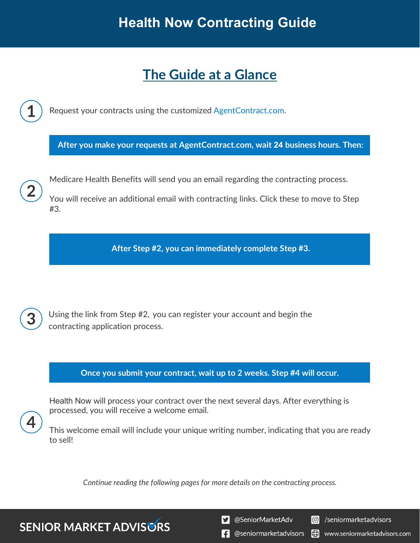# **The Guide at a Glance**

Request your contracts using the customized [AgentContract.com.](http://agentcontracting.com/) **After you make your requests at AgentContract.com, wait 24 business hours. Then:**  Medicare Health Benefits will send you an email regarding the contracting process. You will receive an additional email with contracting links. Click these to move to Step #3. **After Step #2, you can immediately complete Step #3.** 

Using the link from Step #2, you can register your account and begin the contracting application process.

**Once you submit your contract, wait up to 2 weeks. Step #4 will occur.**

Health Now will process your contract over the next several days. After everything is processed, you will receive a welcome email.

This welcome email will include your unique writing number, indicating that you are ready to sell!

*Continue reading the following pages for more details on the contracting process.*

**SENIOR MARKET ADVISURS** 

S @SeniorMarketAdv

Seniormarketadvisors

**1** @seniormarketadvisors (.) www.seniormarketadvisors.com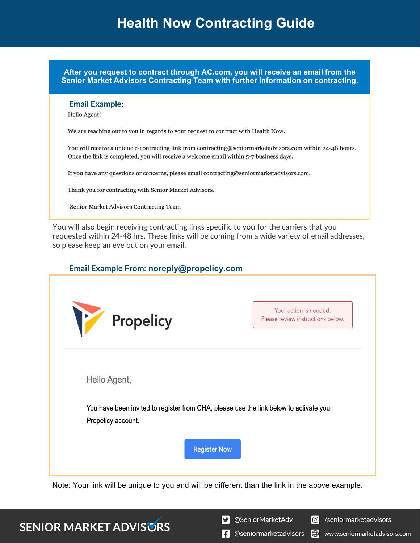**After you request to contract through AC.com, you will receive an email from the Senior Market Advisors Contracting Team with further information on contracting.**

#### **Email Example**:

Hello Agent!

We are reaching out to you in regards to your request to contract with Health Now.

You will receive a unique e-contracting link from contracting@seniormarketadvisors.com within 24-48 hours. Once the link is completed, you will receive a welcome email within 5-7 business days.

If you have any questions or concerns, please email contracting@seniormarketadvisors.com.

Thank you for contracting with Senior Market Advisors.

-Senior Market Advisors Contracting Team

You will also begin receiving contracting links specific to you for the carriers that you requested within 24-48 hrs. These links will be coming from a wide variety of email addresses, so please keep an eye out on your email.

### **Email Example From: noreply@propelicy.com**

| M<br>Propelicy                                                                         | Your action is needed.<br>Please review instructions below. |
|----------------------------------------------------------------------------------------|-------------------------------------------------------------|
| Hello Agent,                                                                           |                                                             |
| You have been invited to register from CHA, please use the link below to activate your |                                                             |
| Propelicy account.                                                                     |                                                             |
| <b>Register Now</b>                                                                    |                                                             |

Note: Your link will be unique to you and will be different than the link in the above example.

### **SENIOR MARKET ADVISURS**

S @SeniorMarketAdv

C /seniormarketadvisors

 $\left| \cdot \right|$  @seniormarketadvisors (.) www.seniormarketadvisors.com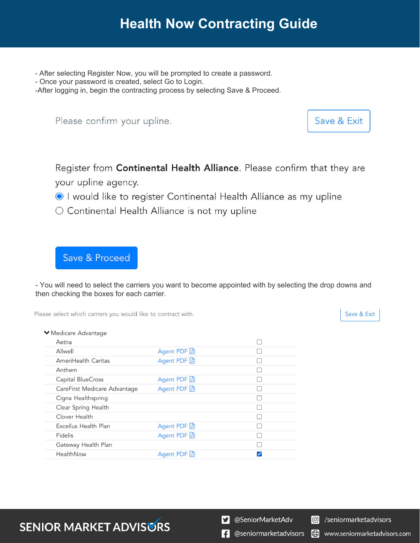- After selecting Register Now, you will be prompted to create a password.
- Once your password is created, select Go to Login.

-After logging in, begin the contracting process by selecting Save & Proceed.

Please confirm your upline.

Save & Exit

Register from Continental Health Alliance. Please confirm that they are your upline agency.

- I would like to register Continental Health Alliance as my upline
- Continental Health Alliance is not my upline

Save & Proceed

- You will need to select the carriers you want to become appointed with by selecting the drop downs and then checking the boxes for each carrier.

Please select which carriers you would like to contract with.

Save & Exit

| ▼ Medicare Advantage         |             |  |
|------------------------------|-------------|--|
| Aetna                        |             |  |
| Allwell                      | Agent PDF A |  |
| AmeriHealth Caritas          | Agent PDF A |  |
| Anthem                       |             |  |
| Capital BlueCross            | Agent PDF A |  |
| CareFirst Medicare Advantage | Agent PDF A |  |
| Cigna Healthspring           |             |  |
| Clear Spring Health          |             |  |
| Clover Health                |             |  |
| Excellus Health Plan         | Agent PDF A |  |
| Fidelis                      | Agent PDF A |  |
| Gateway Health Plan          |             |  |
| HealthNow                    | Agent PDF A |  |
|                              |             |  |

## **SENIOR MARKET ADVISURS**

S @SeniorMarketAdv

C /seniormarketadvisors

www.seniormarketadvisors.com

Ð

 $\left| \cdot \right|$  @seniormarketadvisors